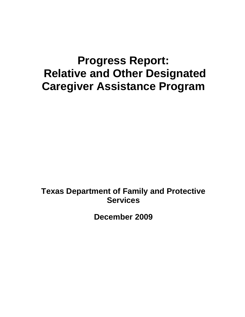# **Progress Report: Relative and Other Designated Caregiver Assistance Program**

**Texas Department of Family and Protective Services** 

**December 2009**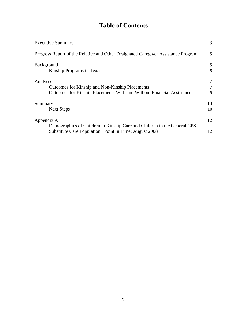## **Table of Contents**

| <b>Executive Summary</b>                                                          | 3      |
|-----------------------------------------------------------------------------------|--------|
| Progress Report of the Relative and Other Designated Caregiver Assistance Program | 5      |
| <b>Background</b>                                                                 | 5      |
| Kinship Programs in Texas                                                         | 5      |
| Analyses                                                                          | 7      |
| Outcomes for Kinship and Non-Kinship Placements                                   | $\tau$ |
| Outcomes for Kinship Placements With and Without Financial Assistance             | 9      |
| Summary                                                                           | 10     |
| <b>Next Steps</b>                                                                 | 10     |
| Appendix A                                                                        | 12     |
| Demographics of Children in Kinship Care and Children in the General CPS          |        |
| Substitute Care Population: Point in Time: August 2008                            | 12     |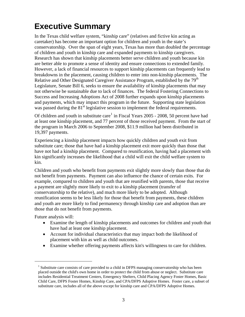## <span id="page-2-0"></span>**Executive Summary**

In the Texas child welfare system, "kinship care" (relatives and fictive kin acting as caretaker) has become an important option for children and youth in the state's conservatorship. Over the span of eight years, Texas has more than doubled the percentage of children and youth in kinship care and expanded payments to kinship caregivers. Research has shown that kinship placements better serve children and youth because kin are better able to promote a sense of identity and ensure connections to extended family. However, a lack of financial resources to support kinship placements can frequently lead to breakdowns in the placement, causing children to enter into non-kinship placements. The Relative and Other Designated Caregiver Assistance Program, established by the 79<sup>th</sup> Legislature, Senate Bill 6, seeks to ensure the availability of kinship placements that may not otherwise be sustainable due to lack of finances. The federal Fostering Connections to Success and Increasing Adoptions Act of 2008 further expands upon kinship placements and payments, which may impact this program in the future. Supporting state legislation was passed during the 81<sup>st</sup> legislative session to implement the federal requirements.

Of children and youth in substitute care<sup>[1](#page-2-1)</sup> in Fiscal Years 2005 - 2008, 50 percent have had at least one kinship placement, and 77 percent of those received payment. From the start of the program in March 2006 to September 2008, \$11.9 million had been distributed in 19,397 payments.

Experiencing a kinship placement impacts how quickly children and youth exit from substitute care; those that have had a kinship placement exit more quickly than those that have not had a kinship placement. Compared to reunification, having had a placement with kin significantly increases the likelihood that a child will exit the child welfare system to kin.

Children and youth who benefit from payments exit slightly more slowly than those that do not benefit from payments. Payment can also influence the chance of certain exits. For example, compared to children and youth that are reunified with parents, those that receive a payment are slightly more likely to exit to a kinship placement (transfer of conservatorship to the relative), and much more likely to be adopted. Although reunification seems to be less likely for those that benefit from payments, these children and youth are more likely to find permanency through kinship care and adoption than are those that do not benefit from payments.

Future analysis will:

<span id="page-2-1"></span> $\overline{a}$ 

- Examine the length of kinship placements and outcomes for children and youth that have had at least one kinship placement.
- Account for individual characteristics that may impact both the likelihood of placement with kin as well as child outcomes.
- Examine whether offering payments affects kin's willingness to care for children.

<sup>&</sup>lt;sup>1</sup> Substitute care consists of care provided to a child in DFPS managing conservatorship who has been placed outside the child's own home in order to protect the child from abuse or neglect. Substitute care includes Residential Treatment Centers, Emergency Shelters, Child Placing Agency Foster Homes, Basic Child Care, DFPS Foster Homes, Kinship Care, and CPA/DFPS Adoptive Homes. Foster care, a subset of substitute care, includes all of the above except for kinship care and CPA/DFPS Adoptive Homes.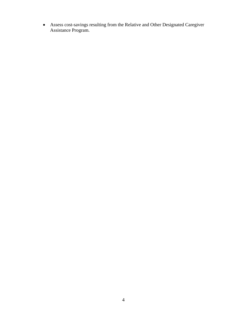Assess cost-savings resulting from the Relative and Other Designated Caregiver Assistance Program.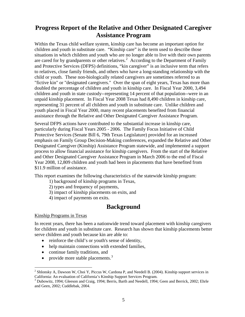## <span id="page-4-0"></span>**Progress Report of the Relative and Other Designated Caregiver Assistance Program**

Within the Texas child welfare system, kinship care has become an important option for children and youth in substitute care. "Kinship care" is the term used to describe those situations in which children and youth who are no longer able to live with their own parents are cared for by grandparents or other relatives.<sup>[2](#page-4-3)</sup> According to the Department of Family and Protective Services (DFPS) definitions, "kin caregiver" is an inclusive term that refers to relatives, close family friends, and others who have a long-standing relationship with the child or youth. These non-biologically related caregivers are sometimes referred to as "fictive kin" or "designated caregivers." Over the span of eight years, Texas has more than doubled the percentage of children and youth in kinship care. In Fiscal Year 2000, 3,494 children and youth in state custody--representing 14 percent of that population--were in an unpaid kinship placement. In Fiscal Year 2008 Texas had 8,490 children in kinship care, representing 31 percent of all children and youth in substitute care. Unlike children and youth placed in Fiscal Year 2000, many recent placements benefited from financial assistance through the Relative and Other Designated Caregiver Assistance Program.

Several DFPS actions have contributed to the substantial increase in kinship care, particularly during Fiscal Years 2005 - 2006. The Family Focus Initiative of Child Protective Services (Senate Bill 6, 79th Texas Legislature) provided for an increased emphasis on Family Group Decision-Making conferences, expanded the Relative and Other Designated Caregiver (Kinship) Assistance Program statewide, and implemented a support process to allow financial assistance for kinship caregivers. From the start of the Relative and Other Designated Caregiver Assistance Program in March 2006 to the end of Fiscal Year 2008, 12,809 children and youth had been in placements that have benefited from \$11.9 million of assistance.

This report examines the following characteristics of the statewide kinship program:

1) background of kinship programs in Texas,

2) types and frequency of payments,

- 3) impact of kinship placements on exits, and
- 4) impact of payments on exits.

## **Background**

#### <span id="page-4-2"></span><span id="page-4-1"></span>Kinship Programs in Texas

 $\overline{a}$ 

In recent years, there has been a nationwide trend toward placement with kinship caregivers for children and youth in substitute care. Research has shown that kinship placements better serve children and youth because kin are able to:

- reinforce the child's or youth's sense of identity,
- help maintain connections with extended families,
- continue family traditions, and
- provide more stable placements. $3$

<span id="page-4-3"></span> $2^2$  Shlonsky A, Dawson W, Choi Y, Piccus W, Cardona P, and Needell B. (2004). Kinship support services in California: An evaluation of California's Kinship Support Services Program.

<span id="page-4-4"></span><sup>&</sup>lt;sup>3</sup> Dubowitz, 1994; Gleeson and Craig, 1994; Berris, Barth and Needell, 1994; Geen and Berrick, 2002; Ehrle and Geen, 2002; Cuddlebak, 2004.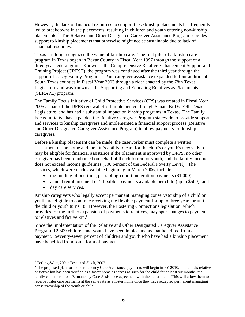However, the lack of financial resources to support these kinship placements has frequently led to breakdowns in the placements, resulting in children and youth entering non-kinship placements.[4](#page-5-0) The Relative and Other Designated Caregiver Assistance Program provides support to kinship placements that otherwise might not be sustainable due to lack of financial resources.

Texas has long recognized the value of kinship care. The first pilot of a kinship care program in Texas began in Bexar County in Fiscal Year 1997 through the support of a three-year federal grant. Known as the Comprehensive Relative Enhancement Support and Training Project (CREST), the program was continued after the third year through the support of Casey Family Programs. Paid caregiver assistance expanded to four additional South Texas counties in Fiscal Year 2003 through a rider enacted by the 78th Texas Legislature and was known as the Supporting and Educating Relatives as Placements (SERAPE) program.

The Family Focus Initiative of Child Protective Services (CPS) was created in Fiscal Year 2005 as part of the DFPS renewal effort implemented through Senate Bill 6, 79th Texas Legislature, and has had a substantial impact on kinship programs in Texas. The Family Focus Initiative has expanded the Relative Caregiver Program statewide to provide support and services to kinship caregivers and implemented a financial support process (Relative and Other Designated Caregiver Assistance Program) to allow payments for kinship caregivers.

Before a kinship placement can be made, the caseworker must complete a written assessment of the home and the kin's ability to care for the child's or youth's needs. Kin may be eligible for financial assistance if the placement is approved by DFPS, no other caregiver has been reimbursed on behalf of the child(ren) or youth, and the family income does not exceed income guidelines (300 percent of the Federal Poverty Level). The services, which were made available beginning in March 2006, include

- $\bullet$  the funding of one-time, per sibling-cohort integration payments (\$1,000),
- annual reimbursement or "flexible" payments available per child (up to \$500), and
- day care services.

Kinship caregivers who legally accept permanent managing conservatorship of a child or youth are eligible to continue receiving the flexible payment for up to three years or until the child or youth turns 18. However, the Fostering Connections legislation, which provides for the further expansion of payments to relatives, may spur changes to payments to relatives and fictive kin.<sup>[5](#page-5-1)</sup>

Since the implementation of the Relative and Other Designated Caregiver Assistance Program, 12,809 children and youth have been in placements that benefited from a payment. Seventy-seven percent of children and youth who have had a kinship placement have benefited from some form of payment.

 4 Terling-Watt, 2001; Testa and Slack, 2002

<span id="page-5-1"></span><span id="page-5-0"></span><sup>&</sup>lt;sup>5</sup> The proposed plan for the Permanency Care Assistance payments will begin in FY 2010. If a child's relative or fictive kin has been verified as a foster home as serves as such for the child for at least six months, the family can enter into a Permanency Care Assistance agreement with the department. This will allow them to receive foster care payments at the same rate as a foster home once they have accepted permanent managing conservatorship of the youth or child.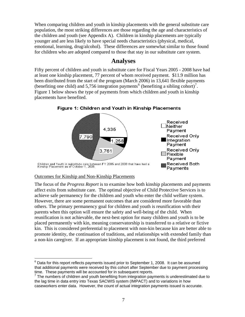When comparing children and youth in kinship placements with the general substitute care population, the most striking differences are those regarding the age and characteristics of the children and youth (see Appendix A). Children in kinship placements are typically younger and are less likely to have special needs characteristics (physical, medical, emotional, learning, drug/alcohol). These differences are somewhat similar to those found for children who are adopted compared to those that stay in our substitute care system.

### **Analyses**

<span id="page-6-0"></span>Fifty percent of children and youth in substitute care for Fiscal Years 2005 - 2008 have had at least one kinship placement, 77 percent of whom received payment. \$11.9 million has been distributed from the start of the program (March 2006) in 13,641 flexible payments (benefiting one child) and 5,75[6](#page-6-2) integration payments<sup>6</sup> (benefiting a sibling cohort)<sup>[7](#page-6-3)</sup>. Figure 1 below shows the type of payments from which children and youth in kinship placements have benefited.



Figure 1: Children and Youth in Kinship Placements

#### <span id="page-6-1"></span>Outcomes for Kinship and Non-Kinship Placements

 $\overline{a}$ 

The focus of the *Progress Report* is to examine how both kinship placements and payments affect exits from substitute care. The optimal objective of Child Protective Services is to achieve safe permanency for the children and youth who enter the child welfare system. However, there are some permanent outcomes that are considered more favorable than others. The primary permanency goal for children and youth is reunification with their parents when this option will ensure the safety and well-being of the child. When reunification is not achievable, the next-best option for many children and youth is to be placed permanently with kin, meaning conservatorship is transferred to a relative or fictive kin. This is considered preferential to placement with non-kin because kin are better able to promote identity, the continuation of traditions, and relationships with extended family than a non-kin caregiver. If an appropriate kinship placement is not found, the third preferred

<span id="page-6-2"></span> $^6$  Data for this report reflects payments issued prior to September 1, 2008. It can be assumed that additional payments were received by this cohort after September due to payment processing time. These payments will be accounted for in subsequent reports.

<span id="page-6-3"></span> $7$  The numbers of children and youth benefiting from integration payments is underestimated due to the lag time in data entry into Texas SACWIS system (IMPACT) and to variations in how caseworkers enter data. However, the count of actual integration payments issued is accurate.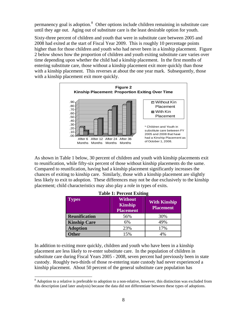permanency goal is adoption.<sup>[8](#page-7-0)</sup> Other options include children remaining in substitute care until they age out. Aging out of substitute care is the least desirable option for youth.

Sixty-three percent of children and youth that were in substitute care between 2005 and 2008 had exited at the start of Fiscal Year 2009. This is roughly 10 percentage points higher than for those children and youth who had never been in a kinship placement. Figure 2 below shows how the proportion of children and youth exiting substitute care varies over time depending upon whether the child had a kinship placement. In the first months of entering substitute care, those without a kinship placement exit more quickly than those with a kinship placement. This reverses at about the one year mark. Subsequently, those with a kinship placement exit more quickly.



As shown in Table 1 below, 30 percent of children and youth with kinship placements exit to reunification, while fifty-six percent of those without kinship placements do the same. Compared to reunification, having had a kinship placement significantly increases the chances of exiting to kinship care. Similarly, those with a kinship placement are slightly less likely to exit to adoption. These differences may not be due exclusively to the kinship placement; child characteristics may also play a role in types of exits.

| <b>Table 1: Percent Exiting</b> |                                                      |                                         |  |  |  |
|---------------------------------|------------------------------------------------------|-----------------------------------------|--|--|--|
| <b>Types</b>                    | <b>Without</b><br><b>Kinship</b><br><b>Placement</b> | <b>With Kinship</b><br><b>Placement</b> |  |  |  |
| <b>Reunification</b>            | 56%                                                  | 30%                                     |  |  |  |
| <b>Kinship Care</b>             | 6%                                                   | 49%                                     |  |  |  |
| <b>Adoption</b>                 | 23%                                                  | 17%                                     |  |  |  |
| <b>ther</b>                     | 15%                                                  | 4%                                      |  |  |  |

In addition to exiting more quickly, children and youth who have been in a kinship placement are less likely to re-enter substitute care. In the population of children in substitute care during Fiscal Years 2005 - 2008, seven percent had previously been in state custody. Roughly two-thirds of those re-entering state custody had never experienced a kinship placement. About 50 percent of the general substitute care population has

 $\overline{a}$ 

<span id="page-7-0"></span> $8$  Adoption to a relative is preferable to adoption to a non-relative, however, this distinction was excluded from this description (and later analysis) because the data did not differentiate between these types of adoptions.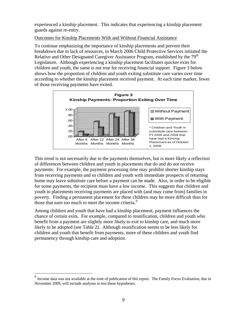experienced a kinship placement. This indicates that experiencing a kinship placement guards against re-entry.

#### <span id="page-8-0"></span>Outcomes for Kinship Placements With and Without Financial Assistance

To continue emphasizing the importance of kinship placements and prevent their breakdown due to lack of resources, in March 2006 Child Protective Services initiated the Relative and Other Designated Caregiver Assistance Program, established by the 79<sup>th</sup> Legislature. Although experiencing a kinship placement facilitates quicker exits for children and youth, the same is not true for receiving financial support. Figure 3 below shows how the proportion of children and youth exiting substitute care varies over time according to whether the kinship placement received payment. At each time marker, fewer of those receiving payments have exited.



This trend is not necessarily due to the payments themselves, but is more likely a reflection of differences between children and youth in placements that do and do not receive payments. For example, the payment processing time may prohibit shorter kinship stays from receiving payments and so children and youth with immediate prospects of returning home may leave substitute care before a payment can be made. Also, in order to be eligible for some payments, the recipient must have a low income. This suggests that children and youth in placements receiving payments are placed with (and may come from) families in poverty. Finding a permanent placement for these children may be more difficult than for those that earn too much to meet the income criteria.<sup>[9](#page-8-1)</sup>

Among children and youth that have had a kinship placement, payment influences the chance of certain exits. For example, compared to reunification, children and youth who benefit from a payment are slightly more likely to exit to kinship care, and much more likely to be adopted (see Table 2). Although reunification seems to be less likely for children and youth that benefit from payments, more of these children and youth find permanency through kinship care and adoption.

 $\overline{a}$ 

<span id="page-8-1"></span><sup>&</sup>lt;sup>9</sup> Income data was not available at the time of publication of this report. The Family Focus Evaluation, due in November 2009, will include analyses to test these hypotheses.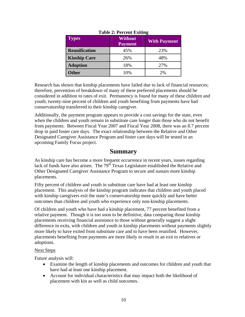| <b>Types</b>         | <b>Without</b><br><b>Payment</b> | <b>With Payment</b> |
|----------------------|----------------------------------|---------------------|
| <b>Reunification</b> | 45%                              | 23%                 |
| <b>Kinship Care</b>  | 26%                              | 48%                 |
| <b>Adoption</b>      | 18%                              | 27%                 |
| <b>Other</b>         | 10%                              | 2%                  |

#### **Table 2: Percent Exiting**

Research has shown that kinship placements have failed due to lack of financial resources; therefore, prevention of breakdown of many of these preferred placements should be considered in addition to rates of exit. Permanency is found for many of these children and youth; twenty-nine percent of children and youth benefiting from payments have had conservatorship transferred to their kinship caregiver.

Additionally, the payment program appears to provide a cost savings for the state, even when the children and youth remain in substitute care longer than those who do not benefit from payments. Between Fiscal Year 2007 and Fiscal Year 2008, there was an 8.7 percent drop in paid foster care days. The exact relationship between the Relative and Other Designated Caregiver Assistance Program and foster care days will be tested in an upcoming Family Focus project.

### **Summary**

<span id="page-9-0"></span>As kinship care has become a more frequent occurrence in recent years, issues regarding lack of funds have also arisen. The  $79<sup>th</sup>$  Texas Legislature established the Relative and Other Designated Caregiver Assistance Program to secure and sustain more kinship placements.

Fifty percent of children and youth in substitute care have had at least one kinship placement. This analysis of the kinship program indicates that children and youth placed with kinship caregivers exit the state's conservatorship more quickly and have better outcomes than children and youth who experience only non-kinship placements.

Of children and youth who have had a kinship placement, 77 percent benefited from a relative payment. Though it is too soon to be definitive, data comparing those kinship placements receiving financial assistance to those without generally suggest a slight difference in exits, with children and youth in kinship placements without payments slightly more likely to have exited from substitute care and to have been reunified. However, placements benefiting from payments are more likely to result in an exit to relatives or adoptions.

#### <span id="page-9-1"></span>Next Steps

Future analysis will:

- Examine the length of kinship placements and outcomes for children and youth that have had at least one kinship placement.
- Account for individual characteristics that may impact both the likelihood of placement with kin as well as child outcomes.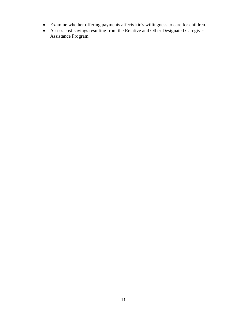- Examine whether offering payments affects kin's willingness to care for children.
- Assess cost-savings resulting from the Relative and Other Designated Caregiver Assistance Program.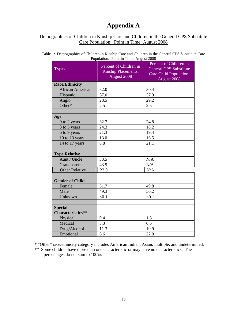## **Appendix A**

#### <span id="page-11-1"></span><span id="page-11-0"></span>Demographics of Children in Kinship Care and Children in the General CPS Substitute Care Population: Point in Time: August 2008

| Table 1: Demographics of Children in Kinship Care and Children in the General CPS Substitute Care |  |
|---------------------------------------------------------------------------------------------------|--|
| Population: Point in Time: August 2008                                                            |  |

| Percent of Children in<br><b>Kinship Placements:</b><br>August 2008 | Percent of Children in<br><b>General CPS Substitute</b><br><b>Care Child Population:</b><br>August 2008 |
|---------------------------------------------------------------------|---------------------------------------------------------------------------------------------------------|
|                                                                     |                                                                                                         |
| 32.0                                                                | 30.4                                                                                                    |
|                                                                     | 37.9                                                                                                    |
| 28.5                                                                | 29.2                                                                                                    |
| 2.5                                                                 | 2.5                                                                                                     |
|                                                                     |                                                                                                         |
|                                                                     |                                                                                                         |
| 32.7                                                                | 24.8                                                                                                    |
| 24.3                                                                | 18.2                                                                                                    |
| 21.3                                                                | 19.4                                                                                                    |
| 13.0                                                                | 16.5                                                                                                    |
| 8.8                                                                 | 21.1                                                                                                    |
|                                                                     |                                                                                                         |
|                                                                     |                                                                                                         |
| 33.5                                                                | N/A                                                                                                     |
| 43.5                                                                | N/A                                                                                                     |
| 23.0                                                                | N/A                                                                                                     |
|                                                                     |                                                                                                         |
|                                                                     |                                                                                                         |
| 51.7                                                                | 49.8                                                                                                    |
| 49.3                                                                | 50.2                                                                                                    |
| < 0.1                                                               | < 0.1                                                                                                   |
|                                                                     |                                                                                                         |
|                                                                     |                                                                                                         |
|                                                                     | 1.3                                                                                                     |
|                                                                     | 6.5                                                                                                     |
|                                                                     | 10.9                                                                                                    |
|                                                                     | 22.0                                                                                                    |
|                                                                     | 37.0<br>0.4<br>3.3<br>11.3<br>6.6                                                                       |

\* "Other" race/ethnicity category includes American Indian, Asian, multiple, and undetermined.

\*\* Some children have more than one characteristic or may have no characteristics. The percentages do not sum to 100%.